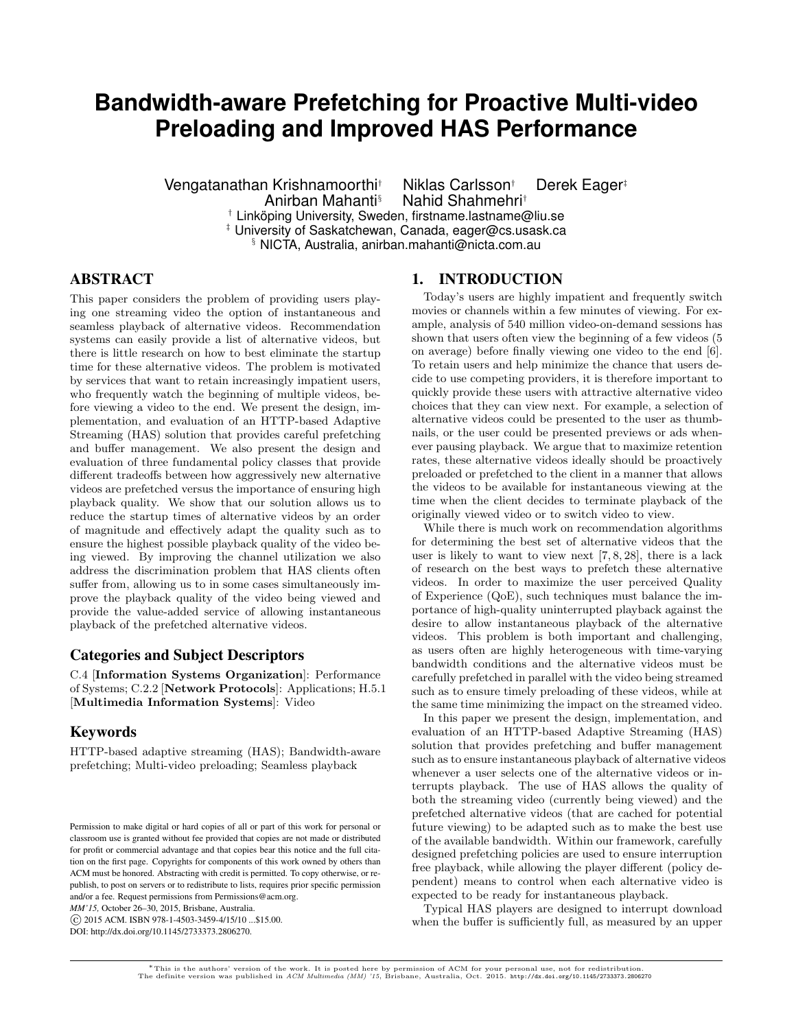# **Bandwidth-aware Prefetching for Proactive Multi-video Preloading and Improved HAS Performance**

Vengatanathan Krishnamoorthi† Niklas Carlsson† Derek Eager‡ Nahid Shahmehri<sup>†</sup> † Linköping University, Sweden, firstname.lastname@liu.se ‡ University of Saskatchewan, Canada, eager@cs.usask.ca § NICTA, Australia, anirban.mahanti@nicta.com.au

# ABSTRACT

This paper considers the problem of providing users playing one streaming video the option of instantaneous and seamless playback of alternative videos. Recommendation systems can easily provide a list of alternative videos, but there is little research on how to best eliminate the startup time for these alternative videos. The problem is motivated by services that want to retain increasingly impatient users, who frequently watch the beginning of multiple videos, before viewing a video to the end. We present the design, implementation, and evaluation of an HTTP-based Adaptive Streaming (HAS) solution that provides careful prefetching and buffer management. We also present the design and evaluation of three fundamental policy classes that provide different tradeoffs between how aggressively new alternative videos are prefetched versus the importance of ensuring high playback quality. We show that our solution allows us to reduce the startup times of alternative videos by an order of magnitude and effectively adapt the quality such as to ensure the highest possible playback quality of the video being viewed. By improving the channel utilization we also address the discrimination problem that HAS clients often suffer from, allowing us to in some cases simultaneously improve the playback quality of the video being viewed and provide the value-added service of allowing instantaneous playback of the prefetched alternative videos.

## Categories and Subject Descriptors

C.4 [Information Systems Organization]: Performance of Systems; C.2.2 [Network Protocols]: Applications; H.5.1 [Multimedia Information Systems]: Video

## Keywords

HTTP-based adaptive streaming (HAS); Bandwidth-aware prefetching; Multi-video preloading; Seamless playback

*MM'15,* October 26–30, 2015, Brisbane, Australia.

c 2015 ACM. ISBN 978-1-4503-3459-4/15/10 ...\$15.00.

DOI: http://dx.doi.org/10.1145/2733373.2806270.

# 1. INTRODUCTION

Today's users are highly impatient and frequently switch movies or channels within a few minutes of viewing. For example, analysis of 540 million video-on-demand sessions has shown that users often view the beginning of a few videos (5 on average) before finally viewing one video to the end [6]. To retain users and help minimize the chance that users decide to use competing providers, it is therefore important to quickly provide these users with attractive alternative video choices that they can view next. For example, a selection of alternative videos could be presented to the user as thumbnails, or the user could be presented previews or ads whenever pausing playback. We argue that to maximize retention rates, these alternative videos ideally should be proactively preloaded or prefetched to the client in a manner that allows the videos to be available for instantaneous viewing at the time when the client decides to terminate playback of the originally viewed video or to switch video to view.

While there is much work on recommendation algorithms for determining the best set of alternative videos that the user is likely to want to view next [7, 8, 28], there is a lack of research on the best ways to prefetch these alternative videos. In order to maximize the user perceived Quality of Experience (QoE), such techniques must balance the importance of high-quality uninterrupted playback against the desire to allow instantaneous playback of the alternative videos. This problem is both important and challenging, as users often are highly heterogeneous with time-varying bandwidth conditions and the alternative videos must be carefully prefetched in parallel with the video being streamed such as to ensure timely preloading of these videos, while at the same time minimizing the impact on the streamed video.

In this paper we present the design, implementation, and evaluation of an HTTP-based Adaptive Streaming (HAS) solution that provides prefetching and buffer management such as to ensure instantaneous playback of alternative videos whenever a user selects one of the alternative videos or interrupts playback. The use of HAS allows the quality of both the streaming video (currently being viewed) and the prefetched alternative videos (that are cached for potential future viewing) to be adapted such as to make the best use of the available bandwidth. Within our framework, carefully designed prefetching policies are used to ensure interruption free playback, while allowing the player different (policy dependent) means to control when each alternative video is expected to be ready for instantaneous playback.

Typical HAS players are designed to interrupt download when the buffer is sufficiently full, as measured by an upper

 $*$ This is the authors' version of the work. It is posted here by permission of ACM for your personal use, not for redistribution.<br>The definite version was published in *ACM Multimedia (MM) '15*, Brisbane, Australia, Oct.

Permission to make digital or hard copies of all or part of this work for personal or classroom use is granted without fee provided that copies are not made or distributed for profit or commercial advantage and that copies bear this notice and the full citation on the first page. Copyrights for components of this work owned by others than ACM must be honored. Abstracting with credit is permitted. To copy otherwise, or republish, to post on servers or to redistribute to lists, requires prior specific permission and/or a fee. Request permissions from Permissions@acm.org.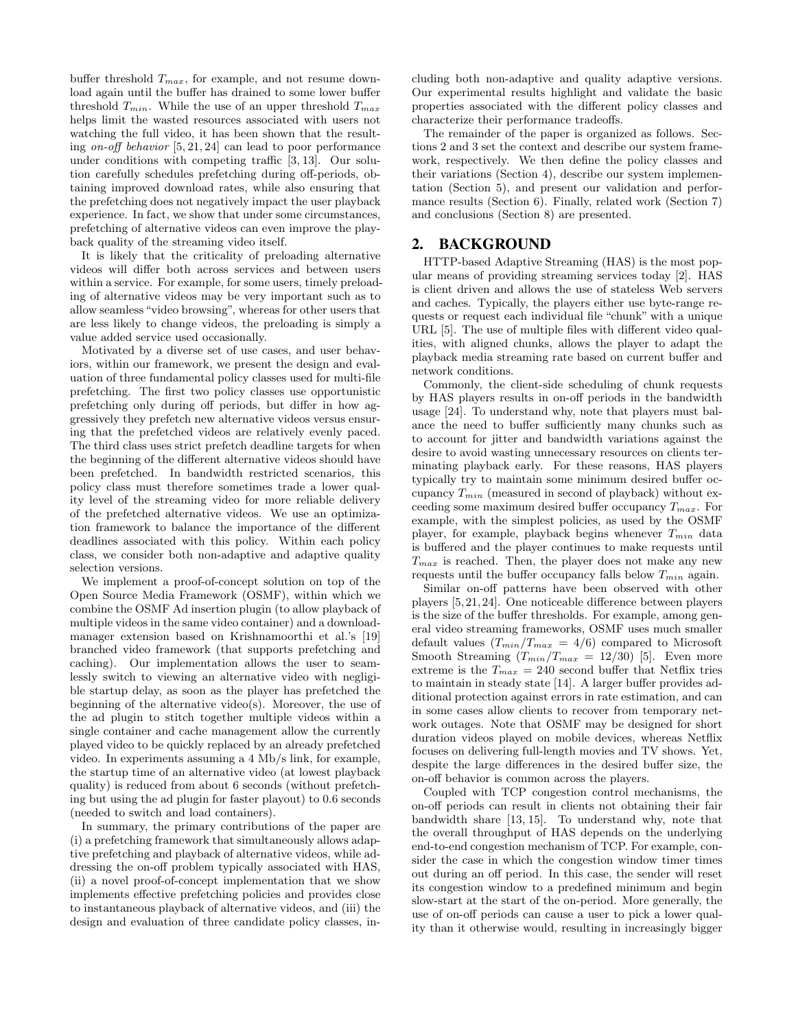buffer threshold  $T_{max}$ , for example, and not resume download again until the buffer has drained to some lower buffer threshold  $T_{min}$ . While the use of an upper threshold  $T_{max}$ helps limit the wasted resources associated with users not watching the full video, it has been shown that the resulting on-off behavior [5, 21, 24] can lead to poor performance under conditions with competing traffic [3, 13]. Our solution carefully schedules prefetching during off-periods, obtaining improved download rates, while also ensuring that the prefetching does not negatively impact the user playback experience. In fact, we show that under some circumstances, prefetching of alternative videos can even improve the playback quality of the streaming video itself.

It is likely that the criticality of preloading alternative videos will differ both across services and between users within a service. For example, for some users, timely preloading of alternative videos may be very important such as to allow seamless "video browsing", whereas for other users that are less likely to change videos, the preloading is simply a value added service used occasionally.

Motivated by a diverse set of use cases, and user behaviors, within our framework, we present the design and evaluation of three fundamental policy classes used for multi-file prefetching. The first two policy classes use opportunistic prefetching only during off periods, but differ in how aggressively they prefetch new alternative videos versus ensuring that the prefetched videos are relatively evenly paced. The third class uses strict prefetch deadline targets for when the beginning of the different alternative videos should have been prefetched. In bandwidth restricted scenarios, this policy class must therefore sometimes trade a lower quality level of the streaming video for more reliable delivery of the prefetched alternative videos. We use an optimization framework to balance the importance of the different deadlines associated with this policy. Within each policy class, we consider both non-adaptive and adaptive quality selection versions.

We implement a proof-of-concept solution on top of the Open Source Media Framework (OSMF), within which we combine the OSMF Ad insertion plugin (to allow playback of multiple videos in the same video container) and a downloadmanager extension based on Krishnamoorthi et al.'s [19] branched video framework (that supports prefetching and caching). Our implementation allows the user to seamlessly switch to viewing an alternative video with negligible startup delay, as soon as the player has prefetched the beginning of the alternative video(s). Moreover, the use of the ad plugin to stitch together multiple videos within a single container and cache management allow the currently played video to be quickly replaced by an already prefetched video. In experiments assuming a 4 Mb/s link, for example, the startup time of an alternative video (at lowest playback quality) is reduced from about 6 seconds (without prefetching but using the ad plugin for faster playout) to 0.6 seconds (needed to switch and load containers).

In summary, the primary contributions of the paper are (i) a prefetching framework that simultaneously allows adaptive prefetching and playback of alternative videos, while addressing the on-off problem typically associated with HAS, (ii) a novel proof-of-concept implementation that we show implements effective prefetching policies and provides close to instantaneous playback of alternative videos, and (iii) the design and evaluation of three candidate policy classes, including both non-adaptive and quality adaptive versions. Our experimental results highlight and validate the basic properties associated with the different policy classes and characterize their performance tradeoffs.

The remainder of the paper is organized as follows. Sections 2 and 3 set the context and describe our system framework, respectively. We then define the policy classes and their variations (Section 4), describe our system implementation (Section 5), and present our validation and performance results (Section 6). Finally, related work (Section 7) and conclusions (Section 8) are presented.

## 2. BACKGROUND

HTTP-based Adaptive Streaming (HAS) is the most popular means of providing streaming services today [2]. HAS is client driven and allows the use of stateless Web servers and caches. Typically, the players either use byte-range requests or request each individual file "chunk" with a unique URL [5]. The use of multiple files with different video qualities, with aligned chunks, allows the player to adapt the playback media streaming rate based on current buffer and network conditions.

Commonly, the client-side scheduling of chunk requests by HAS players results in on-off periods in the bandwidth usage [24]. To understand why, note that players must balance the need to buffer sufficiently many chunks such as to account for jitter and bandwidth variations against the desire to avoid wasting unnecessary resources on clients terminating playback early. For these reasons, HAS players typically try to maintain some minimum desired buffer occupancy  $T_{min}$  (measured in second of playback) without exceeding some maximum desired buffer occupancy  $T_{max}$ . For example, with the simplest policies, as used by the OSMF player, for example, playback begins whenever  $T_{min}$  data is buffered and the player continues to make requests until  $T_{max}$  is reached. Then, the player does not make any new requests until the buffer occupancy falls below  $T_{min}$  again.

Similar on-off patterns have been observed with other players [5, 21, 24]. One noticeable difference between players is the size of the buffer thresholds. For example, among general video streaming frameworks, OSMF uses much smaller default values  $(T_{min}/T_{max} = 4/6)$  compared to Microsoft Smooth Streaming  $(T_{min}/T_{max} = 12/30)$  [5]. Even more extreme is the  $T_{max} = 240$  second buffer that Netflix tries to maintain in steady state [14]. A larger buffer provides additional protection against errors in rate estimation, and can in some cases allow clients to recover from temporary network outages. Note that OSMF may be designed for short duration videos played on mobile devices, whereas Netflix focuses on delivering full-length movies and TV shows. Yet, despite the large differences in the desired buffer size, the on-off behavior is common across the players.

Coupled with TCP congestion control mechanisms, the on-off periods can result in clients not obtaining their fair bandwidth share [13, 15]. To understand why, note that the overall throughput of HAS depends on the underlying end-to-end congestion mechanism of TCP. For example, consider the case in which the congestion window timer times out during an off period. In this case, the sender will reset its congestion window to a predefined minimum and begin slow-start at the start of the on-period. More generally, the use of on-off periods can cause a user to pick a lower quality than it otherwise would, resulting in increasingly bigger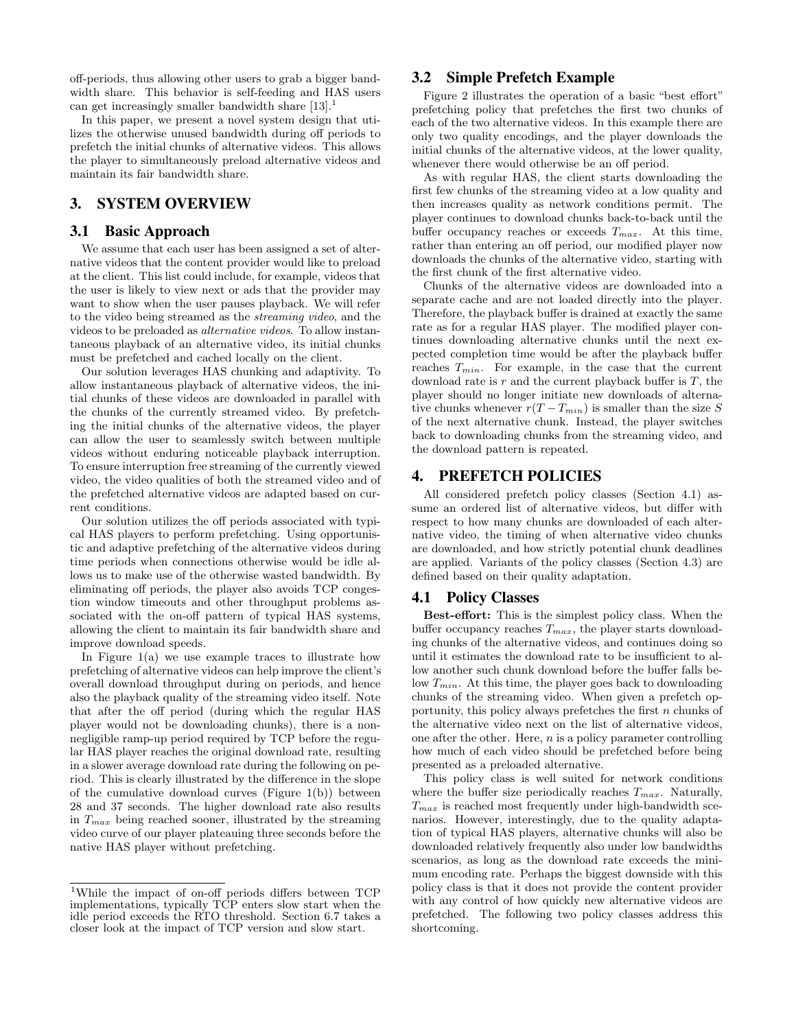off-periods, thus allowing other users to grab a bigger bandwidth share. This behavior is self-feeding and HAS users can get increasingly smaller bandwidth share  $[13]$ <sup>1</sup>

In this paper, we present a novel system design that utilizes the otherwise unused bandwidth during off periods to prefetch the initial chunks of alternative videos. This allows the player to simultaneously preload alternative videos and maintain its fair bandwidth share.

## 3. SYSTEM OVERVIEW

## 3.1 Basic Approach

We assume that each user has been assigned a set of alternative videos that the content provider would like to preload at the client. This list could include, for example, videos that the user is likely to view next or ads that the provider may want to show when the user pauses playback. We will refer to the video being streamed as the streaming video, and the videos to be preloaded as alternative videos. To allow instantaneous playback of an alternative video, its initial chunks must be prefetched and cached locally on the client.

Our solution leverages HAS chunking and adaptivity. To allow instantaneous playback of alternative videos, the initial chunks of these videos are downloaded in parallel with the chunks of the currently streamed video. By prefetching the initial chunks of the alternative videos, the player can allow the user to seamlessly switch between multiple videos without enduring noticeable playback interruption. To ensure interruption free streaming of the currently viewed video, the video qualities of both the streamed video and of the prefetched alternative videos are adapted based on current conditions.

Our solution utilizes the off periods associated with typical HAS players to perform prefetching. Using opportunistic and adaptive prefetching of the alternative videos during time periods when connections otherwise would be idle allows us to make use of the otherwise wasted bandwidth. By eliminating off periods, the player also avoids TCP congestion window timeouts and other throughput problems associated with the on-off pattern of typical HAS systems, allowing the client to maintain its fair bandwidth share and improve download speeds.

In Figure  $1(a)$  we use example traces to illustrate how prefetching of alternative videos can help improve the client's overall download throughput during on periods, and hence also the playback quality of the streaming video itself. Note that after the off period (during which the regular HAS player would not be downloading chunks), there is a nonnegligible ramp-up period required by TCP before the regular HAS player reaches the original download rate, resulting in a slower average download rate during the following on period. This is clearly illustrated by the difference in the slope of the cumulative download curves (Figure 1(b)) between 28 and 37 seconds. The higher download rate also results in  $T_{max}$  being reached sooner, illustrated by the streaming video curve of our player plateauing three seconds before the native HAS player without prefetching.

## 3.2 Simple Prefetch Example

Figure 2 illustrates the operation of a basic "best effort" prefetching policy that prefetches the first two chunks of each of the two alternative videos. In this example there are only two quality encodings, and the player downloads the initial chunks of the alternative videos, at the lower quality, whenever there would otherwise be an off period.

As with regular HAS, the client starts downloading the first few chunks of the streaming video at a low quality and then increases quality as network conditions permit. The player continues to download chunks back-to-back until the buffer occupancy reaches or exceeds  $T_{max}$ . At this time, rather than entering an off period, our modified player now downloads the chunks of the alternative video, starting with the first chunk of the first alternative video.

Chunks of the alternative videos are downloaded into a separate cache and are not loaded directly into the player. Therefore, the playback buffer is drained at exactly the same rate as for a regular HAS player. The modified player continues downloading alternative chunks until the next expected completion time would be after the playback buffer reaches  $T_{min}$ . For example, in the case that the current download rate is  $r$  and the current playback buffer is  $T$ , the player should no longer initiate new downloads of alternative chunks whenever  $r(T - T_{min})$  is smaller than the size S of the next alternative chunk. Instead, the player switches back to downloading chunks from the streaming video, and the download pattern is repeated.

#### 4. PREFETCH POLICIES

All considered prefetch policy classes (Section 4.1) assume an ordered list of alternative videos, but differ with respect to how many chunks are downloaded of each alternative video, the timing of when alternative video chunks are downloaded, and how strictly potential chunk deadlines are applied. Variants of the policy classes (Section 4.3) are defined based on their quality adaptation.

#### 4.1 Policy Classes

Best-effort: This is the simplest policy class. When the buffer occupancy reaches  $T_{max}$ , the player starts downloading chunks of the alternative videos, and continues doing so until it estimates the download rate to be insufficient to allow another such chunk download before the buffer falls below  $T_{min}$ . At this time, the player goes back to downloading chunks of the streaming video. When given a prefetch opportunity, this policy always prefetches the first  $n$  chunks of the alternative video next on the list of alternative videos, one after the other. Here,  $n$  is a policy parameter controlling how much of each video should be prefetched before being presented as a preloaded alternative.

This policy class is well suited for network conditions where the buffer size periodically reaches  $T_{max}$ . Naturally,  $T_{max}$  is reached most frequently under high-bandwidth scenarios. However, interestingly, due to the quality adaptation of typical HAS players, alternative chunks will also be downloaded relatively frequently also under low bandwidths scenarios, as long as the download rate exceeds the minimum encoding rate. Perhaps the biggest downside with this policy class is that it does not provide the content provider with any control of how quickly new alternative videos are prefetched. The following two policy classes address this shortcoming.

<sup>1</sup>While the impact of on-off periods differs between TCP implementations, typically TCP enters slow start when the idle period exceeds the RTO threshold. Section 6.7 takes a closer look at the impact of TCP version and slow start.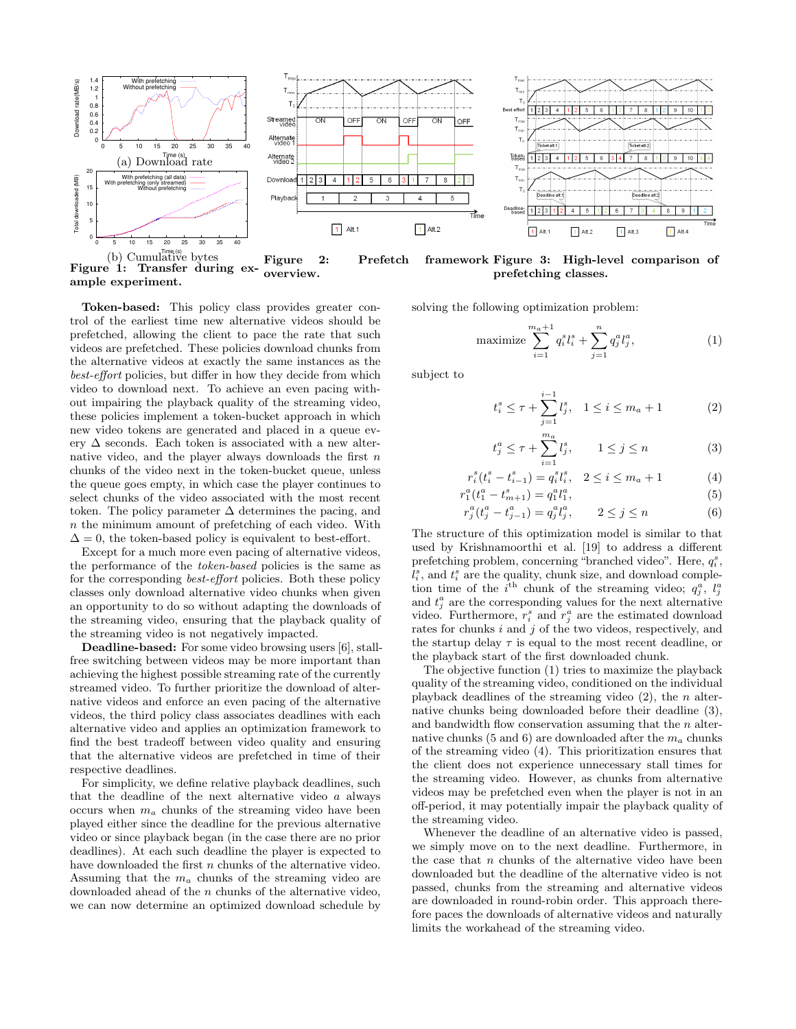

Figure 1: Transfer during example experiment. overview.

prefetching classes.

Token-based: This policy class provides greater control of the earliest time new alternative videos should be prefetched, allowing the client to pace the rate that such videos are prefetched. These policies download chunks from the alternative videos at exactly the same instances as the best-effort policies, but differ in how they decide from which video to download next. To achieve an even pacing without impairing the playback quality of the streaming video, these policies implement a token-bucket approach in which new video tokens are generated and placed in a queue every  $\Delta$  seconds. Each token is associated with a new alternative video, and the player always downloads the first  $n$ chunks of the video next in the token-bucket queue, unless the queue goes empty, in which case the player continues to select chunks of the video associated with the most recent token. The policy parameter  $\Delta$  determines the pacing, and n the minimum amount of prefetching of each video. With  $\Delta = 0$ , the token-based policy is equivalent to best-effort.

Except for a much more even pacing of alternative videos, the performance of the token-based policies is the same as for the corresponding best-effort policies. Both these policy classes only download alternative video chunks when given an opportunity to do so without adapting the downloads of the streaming video, ensuring that the playback quality of the streaming video is not negatively impacted.

Deadline-based: For some video browsing users [6], stallfree switching between videos may be more important than achieving the highest possible streaming rate of the currently streamed video. To further prioritize the download of alternative videos and enforce an even pacing of the alternative videos, the third policy class associates deadlines with each alternative video and applies an optimization framework to find the best tradeoff between video quality and ensuring that the alternative videos are prefetched in time of their respective deadlines.

For simplicity, we define relative playback deadlines, such that the deadline of the next alternative video  $a$  always occurs when  $m_a$  chunks of the streaming video have been played either since the deadline for the previous alternative video or since playback began (in the case there are no prior deadlines). At each such deadline the player is expected to have downloaded the first *n* chunks of the alternative video. Assuming that the  $m_a$  chunks of the streaming video are downloaded ahead of the n chunks of the alternative video, we can now determine an optimized download schedule by

solving the following optimization problem:

maximize 
$$
\sum_{i=1}^{m_a+1} q_i^s l_i^s + \sum_{j=1}^n q_j^a l_j^a,
$$
 (1)

subject to

$$
t_i^s \le \tau + \sum_{j=1}^{i-1} l_j^s, \quad 1 \le i \le m_a + 1 \tag{2}
$$

$$
t_j^a \le \tau + \sum_{i=1}^{m_a} l_j^s, \qquad 1 \le j \le n \tag{3}
$$

$$
r_i^s(t_i^s - t_{i-1}^s) = q_i^s l_i^s, \quad 2 \le i \le m_a + 1 \tag{4}
$$

$$
r_1^a(t_1^a - t_{m+1}^s) = q_1^a t_1^a,
$$
\n<sup>(5)</sup>

$$
r_j^a(t_j^a - t_{j-1}^a) = q_j^a t_j^a, \qquad 2 \le j \le n \tag{6}
$$

The structure of this optimization model is similar to that used by Krishnamoorthi et al. [19] to address a different prefetching problem, concerning "branched video". Here,  $q_i^s$ ,  $l_i^s$ , and  $t_i^s$  are the quality, chunk size, and download completion time of the  $i^{\text{th}}$  chunk of the streaming video;  $q_j^a$ ,  $l_j^a$ and  $t_j^a$  are the corresponding values for the next alternative video. Furthermore,  $r_i^s$  and  $r_j^a$  are the estimated download rates for chunks  $i$  and  $j$  of the two videos, respectively, and the startup delay  $\tau$  is equal to the most recent deadline, or the playback start of the first downloaded chunk.

The objective function (1) tries to maximize the playback quality of the streaming video, conditioned on the individual playback deadlines of the streaming video  $(2)$ , the n alternative chunks being downloaded before their deadline (3), and bandwidth flow conservation assuming that the  $n$  alternative chunks (5 and 6) are downloaded after the  $m_a$  chunks of the streaming video (4). This prioritization ensures that the client does not experience unnecessary stall times for the streaming video. However, as chunks from alternative videos may be prefetched even when the player is not in an off-period, it may potentially impair the playback quality of the streaming video.

Whenever the deadline of an alternative video is passed, we simply move on to the next deadline. Furthermore, in the case that  $n$  chunks of the alternative video have been downloaded but the deadline of the alternative video is not passed, chunks from the streaming and alternative videos are downloaded in round-robin order. This approach therefore paces the downloads of alternative videos and naturally limits the workahead of the streaming video.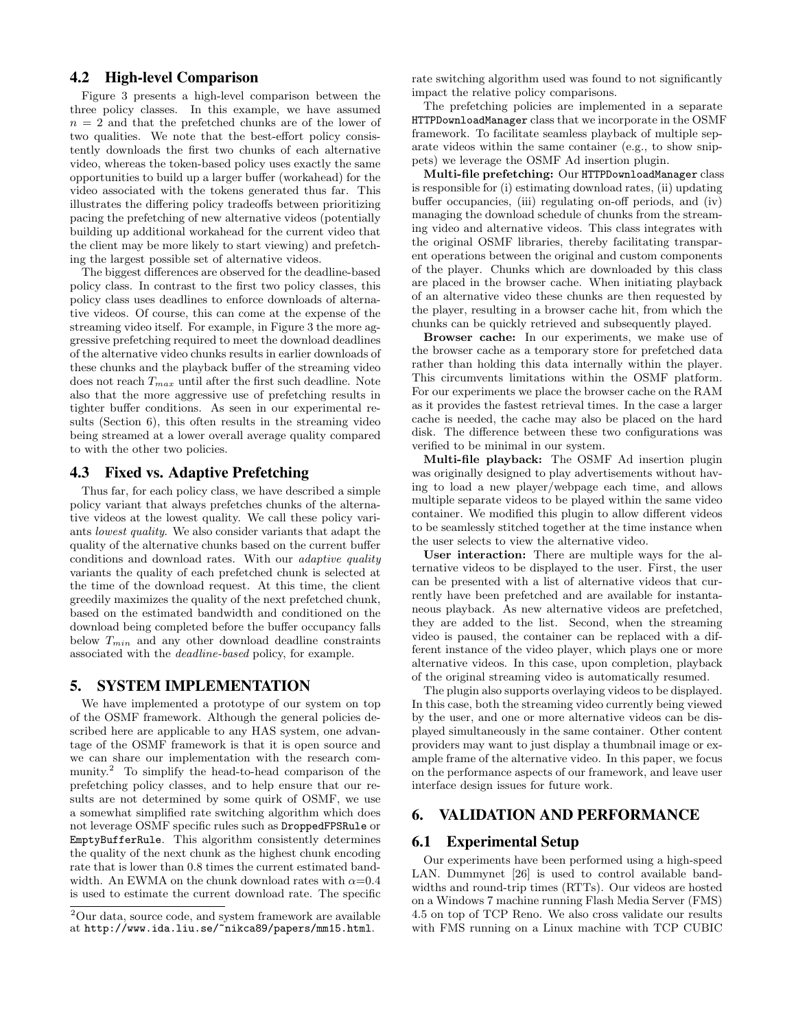## 4.2 High-level Comparison

Figure 3 presents a high-level comparison between the three policy classes. In this example, we have assumed  $n = 2$  and that the prefetched chunks are of the lower of two qualities. We note that the best-effort policy consistently downloads the first two chunks of each alternative video, whereas the token-based policy uses exactly the same opportunities to build up a larger buffer (workahead) for the video associated with the tokens generated thus far. This illustrates the differing policy tradeoffs between prioritizing pacing the prefetching of new alternative videos (potentially building up additional workahead for the current video that the client may be more likely to start viewing) and prefetching the largest possible set of alternative videos.

The biggest differences are observed for the deadline-based policy class. In contrast to the first two policy classes, this policy class uses deadlines to enforce downloads of alternative videos. Of course, this can come at the expense of the streaming video itself. For example, in Figure 3 the more aggressive prefetching required to meet the download deadlines of the alternative video chunks results in earlier downloads of these chunks and the playback buffer of the streaming video does not reach  $T_{max}$  until after the first such deadline. Note also that the more aggressive use of prefetching results in tighter buffer conditions. As seen in our experimental results (Section 6), this often results in the streaming video being streamed at a lower overall average quality compared to with the other two policies.

## 4.3 Fixed vs. Adaptive Prefetching

Thus far, for each policy class, we have described a simple policy variant that always prefetches chunks of the alternative videos at the lowest quality. We call these policy variants lowest quality. We also consider variants that adapt the quality of the alternative chunks based on the current buffer conditions and download rates. With our adaptive quality variants the quality of each prefetched chunk is selected at the time of the download request. At this time, the client greedily maximizes the quality of the next prefetched chunk, based on the estimated bandwidth and conditioned on the download being completed before the buffer occupancy falls below  $T_{min}$  and any other download deadline constraints associated with the deadline-based policy, for example.

## 5. SYSTEM IMPLEMENTATION

We have implemented a prototype of our system on top of the OSMF framework. Although the general policies described here are applicable to any HAS system, one advantage of the OSMF framework is that it is open source and we can share our implementation with the research community.<sup>2</sup> To simplify the head-to-head comparison of the prefetching policy classes, and to help ensure that our results are not determined by some quirk of OSMF, we use a somewhat simplified rate switching algorithm which does not leverage OSMF specific rules such as DroppedFPSRule or EmptyBufferRule. This algorithm consistently determines the quality of the next chunk as the highest chunk encoding rate that is lower than 0.8 times the current estimated bandwidth. An EWMA on the chunk download rates with  $\alpha$ =0.4 is used to estimate the current download rate. The specific

rate switching algorithm used was found to not significantly impact the relative policy comparisons.

The prefetching policies are implemented in a separate HTTPDownloadManager class that we incorporate in the OSMF framework. To facilitate seamless playback of multiple separate videos within the same container (e.g., to show snippets) we leverage the OSMF Ad insertion plugin.

Multi-file prefetching: Our HTTPDownloadManager class is responsible for (i) estimating download rates, (ii) updating buffer occupancies, (iii) regulating on-off periods, and (iv) managing the download schedule of chunks from the streaming video and alternative videos. This class integrates with the original OSMF libraries, thereby facilitating transparent operations between the original and custom components of the player. Chunks which are downloaded by this class are placed in the browser cache. When initiating playback of an alternative video these chunks are then requested by the player, resulting in a browser cache hit, from which the chunks can be quickly retrieved and subsequently played.

Browser cache: In our experiments, we make use of the browser cache as a temporary store for prefetched data rather than holding this data internally within the player. This circumvents limitations within the OSMF platform. For our experiments we place the browser cache on the RAM as it provides the fastest retrieval times. In the case a larger cache is needed, the cache may also be placed on the hard disk. The difference between these two configurations was verified to be minimal in our system.

Multi-file playback: The OSMF Ad insertion plugin was originally designed to play advertisements without having to load a new player/webpage each time, and allows multiple separate videos to be played within the same video container. We modified this plugin to allow different videos to be seamlessly stitched together at the time instance when the user selects to view the alternative video.

User interaction: There are multiple ways for the alternative videos to be displayed to the user. First, the user can be presented with a list of alternative videos that currently have been prefetched and are available for instantaneous playback. As new alternative videos are prefetched, they are added to the list. Second, when the streaming video is paused, the container can be replaced with a different instance of the video player, which plays one or more alternative videos. In this case, upon completion, playback of the original streaming video is automatically resumed.

The plugin also supports overlaying videos to be displayed. In this case, both the streaming video currently being viewed by the user, and one or more alternative videos can be displayed simultaneously in the same container. Other content providers may want to just display a thumbnail image or example frame of the alternative video. In this paper, we focus on the performance aspects of our framework, and leave user interface design issues for future work.

# 6. VALIDATION AND PERFORMANCE

## 6.1 Experimental Setup

Our experiments have been performed using a high-speed LAN. Dummynet [26] is used to control available bandwidths and round-trip times (RTTs). Our videos are hosted on a Windows 7 machine running Flash Media Server (FMS) 4.5 on top of TCP Reno. We also cross validate our results with FMS running on a Linux machine with TCP CUBIC

<sup>2</sup>Our data, source code, and system framework are available at http://www.ida.liu.se/~nikca89/papers/mm15.html.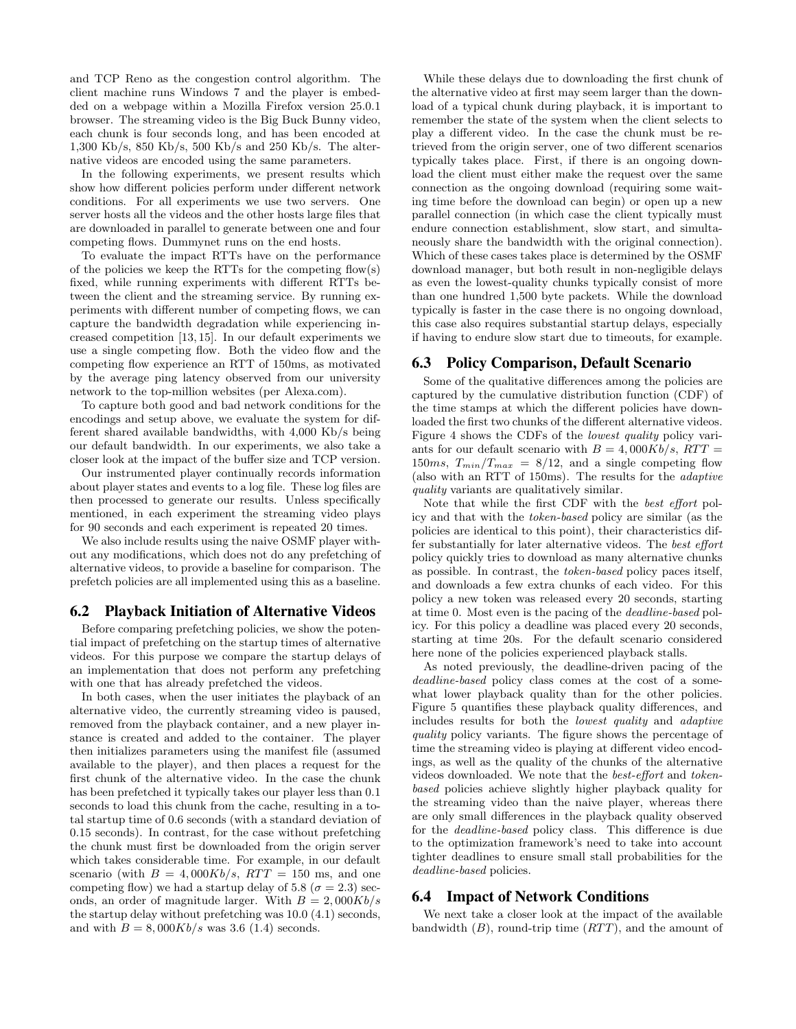and TCP Reno as the congestion control algorithm. The client machine runs Windows 7 and the player is embedded on a webpage within a Mozilla Firefox version 25.0.1 browser. The streaming video is the Big Buck Bunny video, each chunk is four seconds long, and has been encoded at 1,300 Kb/s, 850 Kb/s, 500 Kb/s and 250 Kb/s. The alternative videos are encoded using the same parameters.

In the following experiments, we present results which show how different policies perform under different network conditions. For all experiments we use two servers. One server hosts all the videos and the other hosts large files that are downloaded in parallel to generate between one and four competing flows. Dummynet runs on the end hosts.

To evaluate the impact RTTs have on the performance of the policies we keep the RTTs for the competing flow(s) fixed, while running experiments with different RTTs between the client and the streaming service. By running experiments with different number of competing flows, we can capture the bandwidth degradation while experiencing increased competition [13, 15]. In our default experiments we use a single competing flow. Both the video flow and the competing flow experience an RTT of 150ms, as motivated by the average ping latency observed from our university network to the top-million websites (per Alexa.com).

To capture both good and bad network conditions for the encodings and setup above, we evaluate the system for different shared available bandwidths, with 4,000 Kb/s being our default bandwidth. In our experiments, we also take a closer look at the impact of the buffer size and TCP version.

Our instrumented player continually records information about player states and events to a log file. These log files are then processed to generate our results. Unless specifically mentioned, in each experiment the streaming video plays for 90 seconds and each experiment is repeated 20 times.

We also include results using the naive OSMF player without any modifications, which does not do any prefetching of alternative videos, to provide a baseline for comparison. The prefetch policies are all implemented using this as a baseline.

## 6.2 Playback Initiation of Alternative Videos

Before comparing prefetching policies, we show the potential impact of prefetching on the startup times of alternative videos. For this purpose we compare the startup delays of an implementation that does not perform any prefetching with one that has already prefetched the videos.

In both cases, when the user initiates the playback of an alternative video, the currently streaming video is paused, removed from the playback container, and a new player instance is created and added to the container. The player then initializes parameters using the manifest file (assumed available to the player), and then places a request for the first chunk of the alternative video. In the case the chunk has been prefetched it typically takes our player less than 0.1 seconds to load this chunk from the cache, resulting in a total startup time of 0.6 seconds (with a standard deviation of 0.15 seconds). In contrast, for the case without prefetching the chunk must first be downloaded from the origin server which takes considerable time. For example, in our default scenario (with  $B = 4,000Kb/s$ ,  $RTT = 150$  ms, and one competing flow) we had a startup delay of 5.8 ( $\sigma = 2.3$ ) seconds, an order of magnitude larger. With  $B = 2,000Kb/s$ the startup delay without prefetching was 10.0 (4.1) seconds, and with  $B = 8,000Kb/s$  was 3.6 (1.4) seconds.

While these delays due to downloading the first chunk of the alternative video at first may seem larger than the download of a typical chunk during playback, it is important to remember the state of the system when the client selects to play a different video. In the case the chunk must be retrieved from the origin server, one of two different scenarios typically takes place. First, if there is an ongoing download the client must either make the request over the same connection as the ongoing download (requiring some waiting time before the download can begin) or open up a new parallel connection (in which case the client typically must endure connection establishment, slow start, and simultaneously share the bandwidth with the original connection). Which of these cases takes place is determined by the OSMF download manager, but both result in non-negligible delays as even the lowest-quality chunks typically consist of more than one hundred 1,500 byte packets. While the download typically is faster in the case there is no ongoing download, this case also requires substantial startup delays, especially if having to endure slow start due to timeouts, for example.

## 6.3 Policy Comparison, Default Scenario

Some of the qualitative differences among the policies are captured by the cumulative distribution function (CDF) of the time stamps at which the different policies have downloaded the first two chunks of the different alternative videos. Figure 4 shows the CDFs of the lowest quality policy variants for our default scenario with  $B = 4,000Kb/s, RTT =$ 150ms,  $T_{min}/T_{max} = 8/12$ , and a single competing flow (also with an RTT of 150ms). The results for the adaptive quality variants are qualitatively similar.

Note that while the first CDF with the best effort policy and that with the token-based policy are similar (as the policies are identical to this point), their characteristics differ substantially for later alternative videos. The best effort policy quickly tries to download as many alternative chunks as possible. In contrast, the token-based policy paces itself, and downloads a few extra chunks of each video. For this policy a new token was released every 20 seconds, starting at time 0. Most even is the pacing of the deadline-based policy. For this policy a deadline was placed every 20 seconds, starting at time 20s. For the default scenario considered here none of the policies experienced playback stalls.

As noted previously, the deadline-driven pacing of the deadline-based policy class comes at the cost of a somewhat lower playback quality than for the other policies. Figure 5 quantifies these playback quality differences, and includes results for both the lowest quality and adaptive quality policy variants. The figure shows the percentage of time the streaming video is playing at different video encodings, as well as the quality of the chunks of the alternative videos downloaded. We note that the best-effort and tokenbased policies achieve slightly higher playback quality for the streaming video than the naive player, whereas there are only small differences in the playback quality observed for the deadline-based policy class. This difference is due to the optimization framework's need to take into account tighter deadlines to ensure small stall probabilities for the deadline-based policies.

## 6.4 Impact of Network Conditions

We next take a closer look at the impact of the available bandwidth  $(B)$ , round-trip time  $(RTT)$ , and the amount of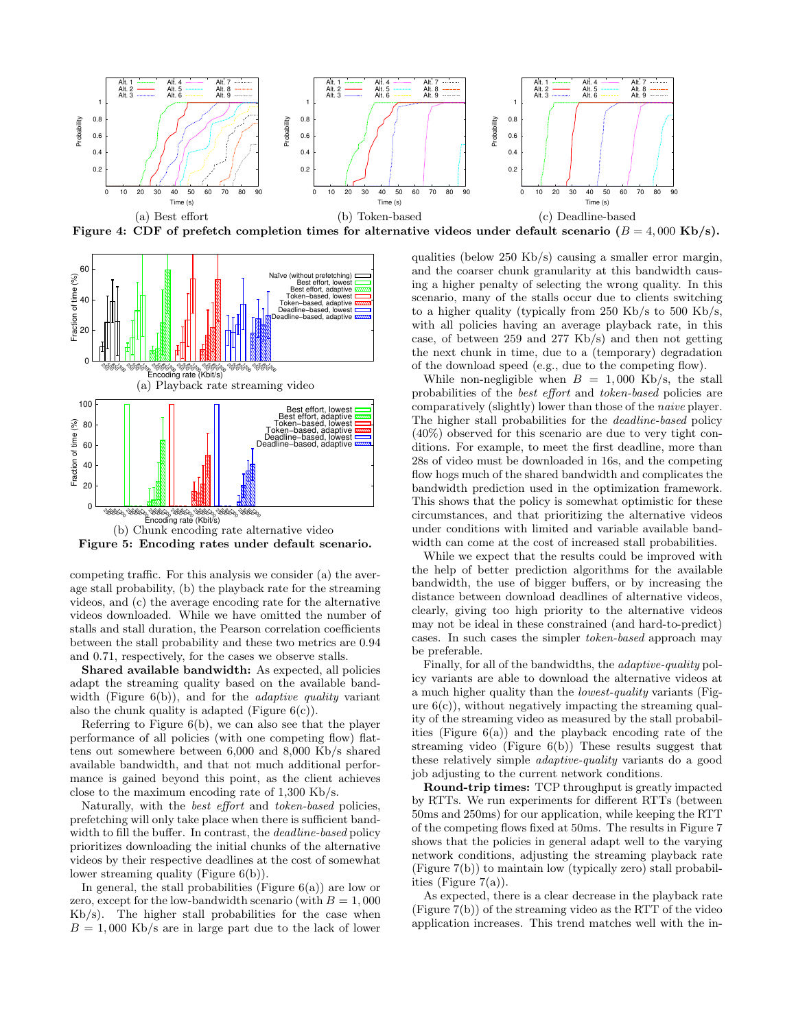

Figure 4: CDF of prefetch completion times for alternative videos under default scenario  $(B = 4,000 \text{ Kb/s})$ .



competing traffic. For this analysis we consider (a) the average stall probability, (b) the playback rate for the streaming videos, and (c) the average encoding rate for the alternative videos downloaded. While we have omitted the number of stalls and stall duration, the Pearson correlation coefficients between the stall probability and these two metrics are 0.94 and 0.71, respectively, for the cases we observe stalls.

Shared available bandwidth: As expected, all policies adapt the streaming quality based on the available bandwidth (Figure  $6(b)$ ), and for the *adaptive quality* variant also the chunk quality is adapted (Figure  $6(c)$ ).

Referring to Figure 6(b), we can also see that the player performance of all policies (with one competing flow) flattens out somewhere between 6,000 and 8,000 Kb/s shared available bandwidth, and that not much additional performance is gained beyond this point, as the client achieves close to the maximum encoding rate of 1,300 Kb/s.

Naturally, with the best effort and token-based policies, prefetching will only take place when there is sufficient bandwidth to fill the buffer. In contrast, the *deadline-based* policy prioritizes downloading the initial chunks of the alternative videos by their respective deadlines at the cost of somewhat lower streaming quality (Figure 6(b)).

In general, the stall probabilities (Figure  $6(a)$ ) are low or zero, except for the low-bandwidth scenario (with  $B = 1,000$ Kb/s). The higher stall probabilities for the case when  $B = 1,000$  Kb/s are in large part due to the lack of lower

qualities (below 250 Kb/s) causing a smaller error margin, and the coarser chunk granularity at this bandwidth causing a higher penalty of selecting the wrong quality. In this scenario, many of the stalls occur due to clients switching to a higher quality (typically from 250 Kb/s to 500 Kb/s, with all policies having an average playback rate, in this case, of between 259 and 277 Kb/s) and then not getting the next chunk in time, due to a (temporary) degradation of the download speed (e.g., due to the competing flow).

While non-negligible when  $B = 1,000$  Kb/s, the stall probabilities of the best effort and token-based policies are comparatively (slightly) lower than those of the naive player. The higher stall probabilities for the deadline-based policy (40%) observed for this scenario are due to very tight conditions. For example, to meet the first deadline, more than 28s of video must be downloaded in 16s, and the competing flow hogs much of the shared bandwidth and complicates the bandwidth prediction used in the optimization framework. This shows that the policy is somewhat optimistic for these circumstances, and that prioritizing the alternative videos under conditions with limited and variable available bandwidth can come at the cost of increased stall probabilities.

While we expect that the results could be improved with the help of better prediction algorithms for the available bandwidth, the use of bigger buffers, or by increasing the distance between download deadlines of alternative videos, clearly, giving too high priority to the alternative videos may not be ideal in these constrained (and hard-to-predict) cases. In such cases the simpler token-based approach may be preferable.

Finally, for all of the bandwidths, the adaptive-quality policy variants are able to download the alternative videos at a much higher quality than the lowest-quality variants (Figure  $6(c)$ , without negatively impacting the streaming quality of the streaming video as measured by the stall probabilities (Figure  $6(a)$ ) and the playback encoding rate of the streaming video (Figure 6(b)) These results suggest that these relatively simple adaptive-quality variants do a good job adjusting to the current network conditions.

Round-trip times: TCP throughput is greatly impacted by RTTs. We run experiments for different RTTs (between 50ms and 250ms) for our application, while keeping the RTT of the competing flows fixed at 50ms. The results in Figure 7 shows that the policies in general adapt well to the varying network conditions, adjusting the streaming playback rate (Figure 7(b)) to maintain low (typically zero) stall probabilities (Figure 7(a)).

As expected, there is a clear decrease in the playback rate (Figure 7(b)) of the streaming video as the RTT of the video application increases. This trend matches well with the in-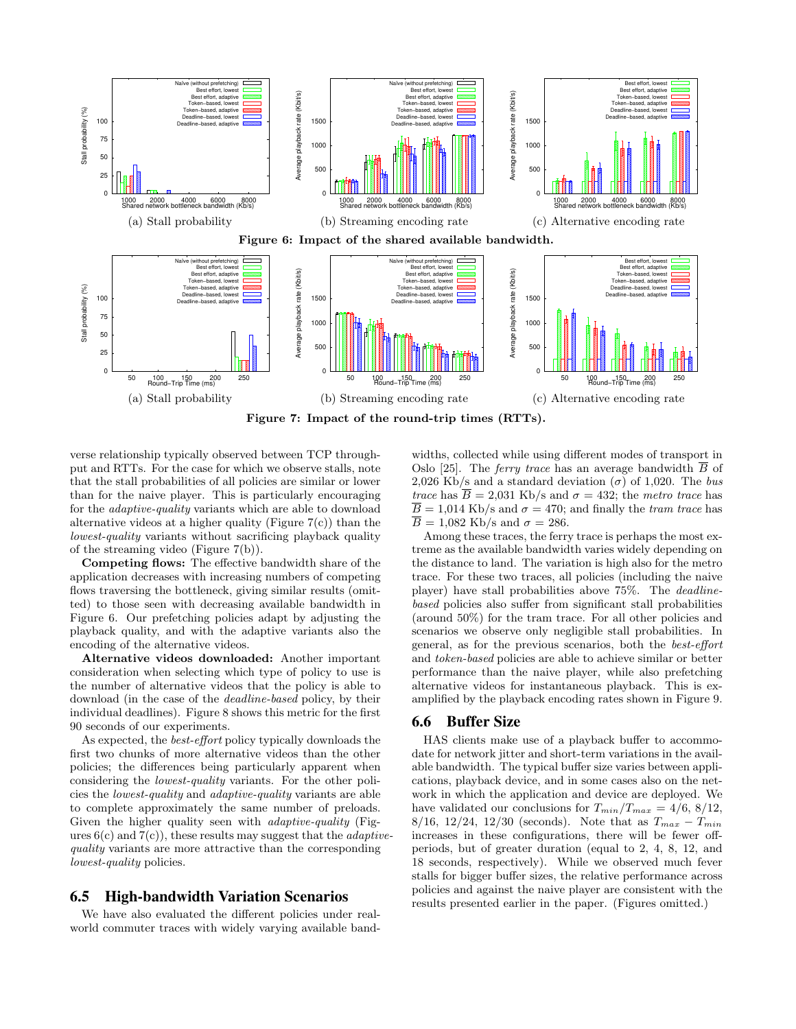

Figure 7: Impact of the round-trip times (RTTs).

verse relationship typically observed between TCP throughput and RTTs. For the case for which we observe stalls, note that the stall probabilities of all policies are similar or lower than for the naive player. This is particularly encouraging for the adaptive-quality variants which are able to download alternative videos at a higher quality (Figure  $7(c)$ ) than the lowest-quality variants without sacrificing playback quality of the streaming video (Figure 7(b)).

Competing flows: The effective bandwidth share of the application decreases with increasing numbers of competing flows traversing the bottleneck, giving similar results (omitted) to those seen with decreasing available bandwidth in Figure 6. Our prefetching policies adapt by adjusting the playback quality, and with the adaptive variants also the encoding of the alternative videos.

Alternative videos downloaded: Another important consideration when selecting which type of policy to use is the number of alternative videos that the policy is able to download (in the case of the deadline-based policy, by their individual deadlines). Figure 8 shows this metric for the first 90 seconds of our experiments.

As expected, the best-effort policy typically downloads the first two chunks of more alternative videos than the other policies; the differences being particularly apparent when considering the lowest-quality variants. For the other policies the lowest-quality and adaptive-quality variants are able to complete approximately the same number of preloads. Given the higher quality seen with adaptive-quality (Figures  $6(c)$  and  $7(c)$ , these results may suggest that the *adaptive*quality variants are more attractive than the corresponding lowest-quality policies.

#### 6.5 High-bandwidth Variation Scenarios

We have also evaluated the different policies under realworld commuter traces with widely varying available bandwidths, collected while using different modes of transport in Oslo [25]. The *ferry trace* has an average bandwidth  $\overline{B}$  of 2,026 Kb/s and a standard deviation ( $\sigma$ ) of 1,020. The bus trace has  $\overline{B} = 2.031$  Kb/s and  $\sigma = 432$ ; the metro trace has  $\overline{B} = 1,014$  Kb/s and  $\sigma = 470$ ; and finally the *tram trace* has  $\overline{B} = 1,082$  Kb/s and  $\sigma = 286$ .

Among these traces, the ferry trace is perhaps the most extreme as the available bandwidth varies widely depending on the distance to land. The variation is high also for the metro trace. For these two traces, all policies (including the naive player) have stall probabilities above 75%. The deadlinebased policies also suffer from significant stall probabilities (around 50%) for the tram trace. For all other policies and scenarios we observe only negligible stall probabilities. In general, as for the previous scenarios, both the best-effort and token-based policies are able to achieve similar or better performance than the naive player, while also prefetching alternative videos for instantaneous playback. This is examplified by the playback encoding rates shown in Figure 9.

#### 6.6 Buffer Size

HAS clients make use of a playback buffer to accommodate for network jitter and short-term variations in the available bandwidth. The typical buffer size varies between applications, playback device, and in some cases also on the network in which the application and device are deployed. We have validated our conclusions for  $T_{min}/T_{max} = 4/6, 8/12,$ 8/16, 12/24, 12/30 (seconds). Note that as  $T_{max} - T_{min}$ increases in these configurations, there will be fewer offperiods, but of greater duration (equal to 2, 4, 8, 12, and 18 seconds, respectively). While we observed much fever stalls for bigger buffer sizes, the relative performance across policies and against the naive player are consistent with the results presented earlier in the paper. (Figures omitted.)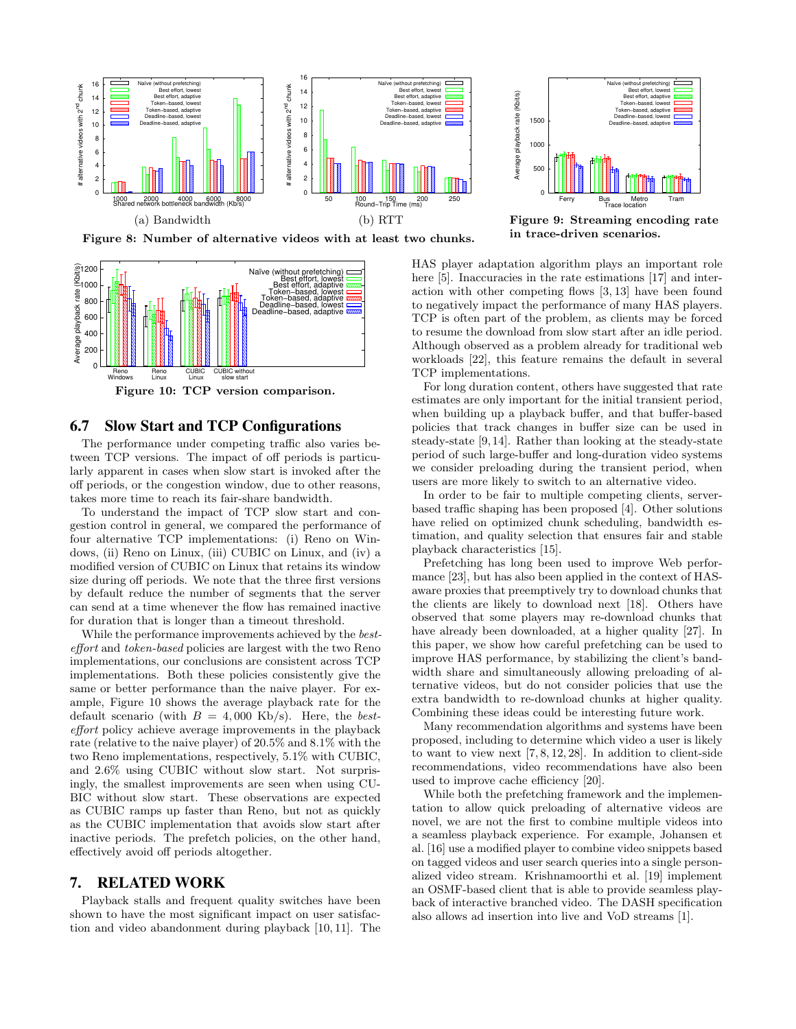

Figure 8: Number of alternative videos with at least two chunks.



#### 6.7 Slow Start and TCP Configurations

The performance under competing traffic also varies between TCP versions. The impact of off periods is particularly apparent in cases when slow start is invoked after the off periods, or the congestion window, due to other reasons, takes more time to reach its fair-share bandwidth.

To understand the impact of TCP slow start and congestion control in general, we compared the performance of four alternative TCP implementations: (i) Reno on Windows, (ii) Reno on Linux, (iii) CUBIC on Linux, and (iv) a modified version of CUBIC on Linux that retains its window size during off periods. We note that the three first versions by default reduce the number of segments that the server can send at a time whenever the flow has remained inactive for duration that is longer than a timeout threshold.

While the performance improvements achieved by the besteffort and token-based policies are largest with the two Reno implementations, our conclusions are consistent across TCP implementations. Both these policies consistently give the same or better performance than the naive player. For example, Figure 10 shows the average playback rate for the default scenario (with  $B = 4,000$  Kb/s). Here, the besteffort policy achieve average improvements in the playback rate (relative to the naive player) of 20.5% and 8.1% with the two Reno implementations, respectively, 5.1% with CUBIC, and 2.6% using CUBIC without slow start. Not surprisingly, the smallest improvements are seen when using CU-BIC without slow start. These observations are expected as CUBIC ramps up faster than Reno, but not as quickly as the CUBIC implementation that avoids slow start after inactive periods. The prefetch policies, on the other hand, effectively avoid off periods altogether.

#### 7. RELATED WORK

Playback stalls and frequent quality switches have been shown to have the most significant impact on user satisfaction and video abandonment during playback [10, 11]. The



Figure 9: Streaming encoding rate in trace-driven scenarios.

HAS player adaptation algorithm plays an important role here [5]. Inaccuracies in the rate estimations [17] and interaction with other competing flows [3, 13] have been found to negatively impact the performance of many HAS players. TCP is often part of the problem, as clients may be forced to resume the download from slow start after an idle period. Although observed as a problem already for traditional web workloads [22], this feature remains the default in several TCP implementations.

For long duration content, others have suggested that rate estimates are only important for the initial transient period, when building up a playback buffer, and that buffer-based policies that track changes in buffer size can be used in steady-state [9, 14]. Rather than looking at the steady-state period of such large-buffer and long-duration video systems we consider preloading during the transient period, when users are more likely to switch to an alternative video.

In order to be fair to multiple competing clients, serverbased traffic shaping has been proposed [4]. Other solutions have relied on optimized chunk scheduling, bandwidth estimation, and quality selection that ensures fair and stable playback characteristics [15].

Prefetching has long been used to improve Web performance [23], but has also been applied in the context of HASaware proxies that preemptively try to download chunks that the clients are likely to download next [18]. Others have observed that some players may re-download chunks that have already been downloaded, at a higher quality [27]. In this paper, we show how careful prefetching can be used to improve HAS performance, by stabilizing the client's bandwidth share and simultaneously allowing preloading of alternative videos, but do not consider policies that use the extra bandwidth to re-download chunks at higher quality. Combining these ideas could be interesting future work.

Many recommendation algorithms and systems have been proposed, including to determine which video a user is likely to want to view next [7, 8, 12, 28]. In addition to client-side recommendations, video recommendations have also been used to improve cache efficiency [20].

While both the prefetching framework and the implementation to allow quick preloading of alternative videos are novel, we are not the first to combine multiple videos into a seamless playback experience. For example, Johansen et al. [16] use a modified player to combine video snippets based on tagged videos and user search queries into a single personalized video stream. Krishnamoorthi et al. [19] implement an OSMF-based client that is able to provide seamless playback of interactive branched video. The DASH specification also allows ad insertion into live and VoD streams [1].